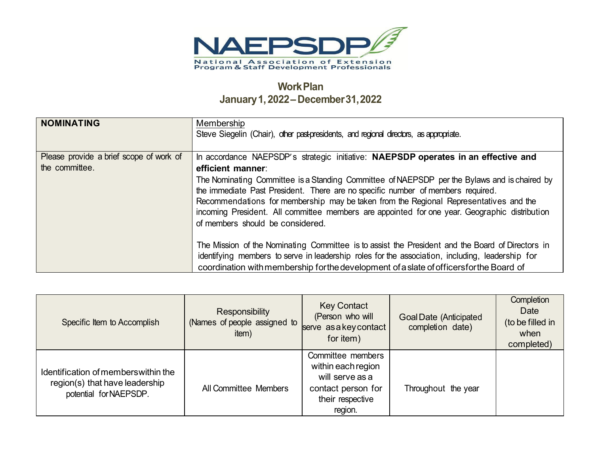

## **WorkPlan January1,2022– December31,2022**

| <b>NOMINATING</b>                       | Membership<br>Steve Siegelin (Chair), other past-presidents, and regional directors, as appropriate.                                                                                                                                                                                                                                                                                                          |
|-----------------------------------------|---------------------------------------------------------------------------------------------------------------------------------------------------------------------------------------------------------------------------------------------------------------------------------------------------------------------------------------------------------------------------------------------------------------|
| Please provide a brief scope of work of | In accordance NAEPSDP's strategic initiative: NAEPSDP operates in an effective and                                                                                                                                                                                                                                                                                                                            |
| the committee.                          | efficient manner:                                                                                                                                                                                                                                                                                                                                                                                             |
|                                         | The Nominating Committee is a Standing Committee of NAEPSDP per the Bylaws and is chaired by<br>the immediate Past President. There are no specific number of members required.<br>Recommendations for membership may be taken from the Regional Representatives and the<br>incoming President. All committee members are appointed for one year. Geographic distribution<br>of members should be considered. |
|                                         | The Mission of the Nominating Committee is to assist the President and the Board of Directors in                                                                                                                                                                                                                                                                                                              |
|                                         | identifying members to serve in leadership roles for the association, including, leadership for                                                                                                                                                                                                                                                                                                               |
|                                         | coordination with membership for the development of a slate of officers for the Board of                                                                                                                                                                                                                                                                                                                      |

| Specific Item to Accomplish                                                                      | Responsibility<br>(Names of people assigned to<br>item) | <b>Key Contact</b><br>(Person who will<br>serve as a key contact<br>for item)                                   | <b>Goal Date (Anticipated</b><br>completion date) | Completion<br>Date<br>(to be filled in<br>when<br>completed) |
|--------------------------------------------------------------------------------------------------|---------------------------------------------------------|-----------------------------------------------------------------------------------------------------------------|---------------------------------------------------|--------------------------------------------------------------|
| Identification of members within the<br>region(s) that have leadership<br>potential for NAEPSDP. | All Committee Members                                   | Committee members<br>within each region<br>will serve as a<br>contact person for<br>their respective<br>region. | Throughout the year                               |                                                              |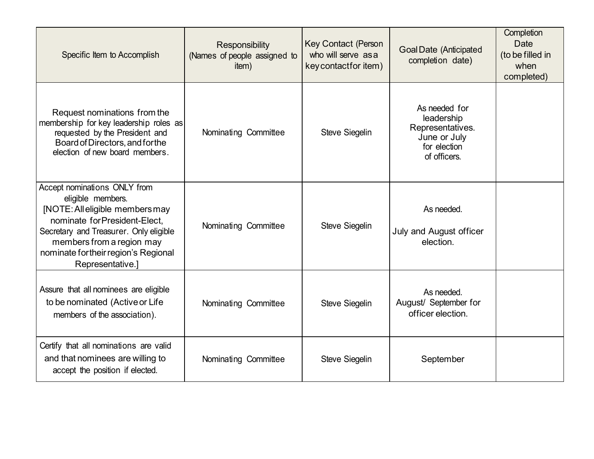| Specific Item to Accomplish                                                                                                                                                                                                                             | Responsibility<br>(Names of people assigned to<br>item) | <b>Key Contact (Person</b><br>who will serve as a<br>key contact for item) | <b>Goal Date (Anticipated</b><br>completion date)                                               | Completion<br><b>Date</b><br>(to be filled in<br>when<br>completed) |
|---------------------------------------------------------------------------------------------------------------------------------------------------------------------------------------------------------------------------------------------------------|---------------------------------------------------------|----------------------------------------------------------------------------|-------------------------------------------------------------------------------------------------|---------------------------------------------------------------------|
| Request nominations from the<br>membership for key leadership roles as<br>requested by the President and<br>Board of Directors, and for the<br>election of new board members.                                                                           | Nominating Committee                                    | Steve Siegelin                                                             | As needed for<br>leadership<br>Representatives.<br>June or July<br>for election<br>of officers. |                                                                     |
| Accept nominations ONLY from<br>eligible members.<br>[NOTE: All eligible members may<br>nominate for President-Elect,<br>Secretary and Treasurer. Only eligible<br>members from a region may<br>nominate fortheir region's Regional<br>Representative.] | Nominating Committee                                    | Steve Siegelin                                                             | As needed.<br>July and August officer<br>election.                                              |                                                                     |
| Assure that all nominees are eligible<br>to be nominated (Active or Life<br>members of the association).                                                                                                                                                | Nominating Committee                                    | Steve Siegelin                                                             | As needed.<br>August/ September for<br>officer election.                                        |                                                                     |
| Certify that all nominations are valid<br>and that nominees are willing to<br>accept the position if elected.                                                                                                                                           | Nominating Committee                                    | Steve Siegelin                                                             | September                                                                                       |                                                                     |